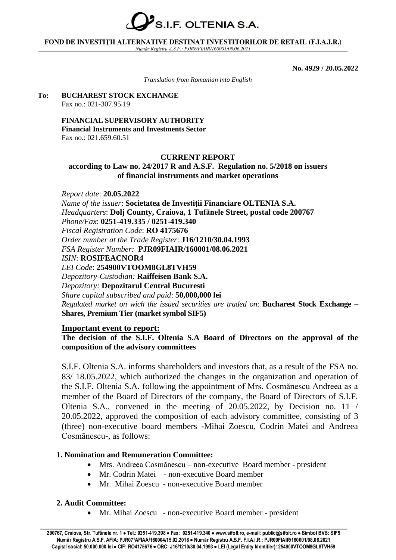

#### FOND DE INVESTITII ALTERNATIVE DESTINAT INVESTITORILOR DE RETAIL (F.I.A.I.R.) Număr Registru A.S.F.: PJR09FIAIR/160001/08.06.2021

**No. 4929 / 20.05.2022**

*Translation from Romanian into English*

#### **To: BUCHAREST STOCK EXCHANGE** Fax no.: 021-307.95.19

**FINANCIAL SUPERVISORY AUTHORITY Financial Instruments and Investments Sector** Fax no.: 021.659.60.51

## **CURRENT REPORT**

## **according to Law no. 24/2017 R and A.S.F. Regulation no. 5/2018 on issuers of financial instruments and market operations**

*Report date*: **20.05.2022** *Name of the issuer*: **Societatea de Investiţii Financiare OLTENIA S.A.** *Headquarters*: **Dolj County, Craiova, 1 Tufănele Street, postal code 200767** *Phone/Fax*: **0251-419.335 / 0251-419.340** *Fiscal Registration Code*: **RO 4175676** *Order number at the Trade Register*: **J16/1210/30.04.1993** *FSA Register Number:* **PJR09FIAIR/160001/08.06.2021** *ISIN*: **ROSIFEACNOR4** *LEI Code*: **254900VTOOM8GL8TVH59** *Depozitory-Custodian:* **Raiffeisen Bank S.A.** *Depozitory:* **Depozitarul Central Bucuresti** *Share capital subscribed and paid*: **50,000,000 lei** *Regulated market on wich the issued securities are traded on*: **Bucharest Stock Exchange – Shares, Premium Tier (market symbol SIF5)**

## **Important event to report:**

## **The decision of the S.I.F. Oltenia S.A Board of Directors on the approval of the composition of the advisory committees**

S.I.F. Oltenia S.A. informs shareholders and investors that, as a result of the FSA no. 83/ 18.05.2022, which authorized the changes in the organization and operation of the S.I.F. Oltenia S.A. following the appointment of Mrs. Cosmănescu Andreea as a member of the Board of Directors of the company, the Board of Directors of S.I.F. Oltenia S.A., convened in the meeting of 20.05.2022, by Decision no. 11 / 20.05.2022, approved the composition of each advisory committee, consisting of 3 (three) non-executive board members -Mihai Zoescu, Codrin Matei and Andreea Cosmănescu-, as follows:

# **1. Nomination and Remuneration Committee:**

- Mrs. Andreea Cosmănescu non-executive Board member president
- Mr. Codrin Matei non-executive Board member
- Mr. Mihai Zoescu non-executive Board member

# **2. Audit Committee:**

• Mr. Mihai Zoescu - non-executive Board member - president

<sup>200767,</sup> Craiova, Str. Tufănele nr. 1 · Tel.: 0251-419.398 · Fax: 0251-419.340 · www.sifolt.ro, e-mail: public@sifolt.ro · Simbol BVB: SIF5 Număr Registru A.S.F. AFIA: PJR071AFIAA/160004/15.02.2018 · Număr Registru A.S.F. F.I.A.I.R.: PJR09FIAIR/160001/08.06.2021 Capital social: 50.000.000 lei · CIF: RO4175676 · ORC: J16/1210/30.04.1993 · LEI (Legal Entity Identifier): 254900VTOOM8GL8TVH59